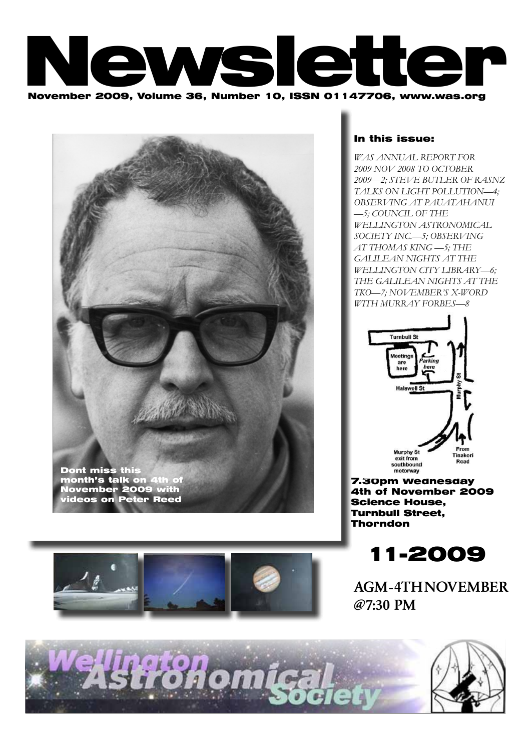





## In this issue:

*WAS ANNUAL REPORT for 2009 Nov 2008 to October 2009—2; Steve Butler of RASNZ talks on Light pollution—4; OBSERVING AT PAUATAHANUI —5; COUNCIL OF THE WELLINGTON ASTRONOMICAL SOCIETY INC.—5; OBSERVING AT THOMAS KING —5; The Galilean Nights at the Wellington City Library—6; The Galilean Nights at the TKO—7; November's X-word with Murray Forbes—8*



7.30pm Wednesday 4th of November 2009 Science House, Turnbull Street, Thorndon



AGM - 4TH NOVEMBER @7:30 PM

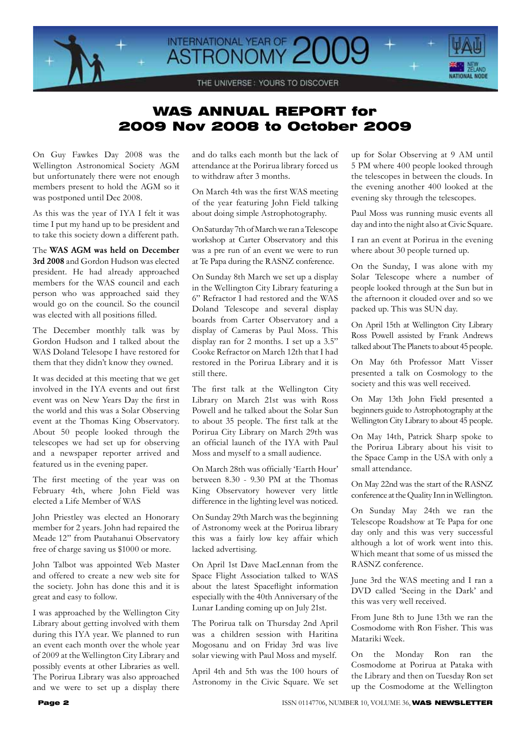

# WAS ANNUAL REPORT for 2009 Nov 2008 to October 2009

On Guy Fawkes Day 2008 was the Wellington Astronomical Society AGM but unfortunately there were not enough members present to hold the AGM so it was postponed until Dec 2008.

As this was the year of IYA I felt it was time I put my hand up to be president and to take this society down a different path.

The WAS AGM was held on December 3rd 2008 and Gordon Hudson was elected president. He had already approached members for the WAS council and each person who was approached said they would go on the council. So the council was elected with all positions filled.

The December monthly talk was by Gordon Hudson and I talked about the WAS Doland Telesope I have restored for them that they didn't know they owned.

It was decided at this meeting that we get involved in the IYA events and out first event was on New Years Day the first in the world and this was a Solar Observing event at the Thomas King Observatory. About 50 people looked through the telescopes we had set up for observing and a newspaper reporter arrived and featured us in the evening paper.

The first meeting of the year was on February 4th, where John Field was elected a Life Member of WAS

John Priestley was elected an Honorary member for 2 years. John had repaired the Meade 12" from Pautahanui Observatory free of charge saving us \$1000 or more.

John Talbot was appointed Web Master and offered to create a new web site for the society. John has done this and it is great and easy to follow.

I was approached by the Wellington City Library about getting involved with them during this IYA year. We planned to run an event each month over the whole year of 2009 at the Wellington City Library and possibly events at other Libraries as well. The Porirua Library was also approached and we were to set up a display there and do talks each month but the lack of attendance at the Porirua library forced us to withdraw after 3 months.

On March 4th was the first WAS meeting of the year featuring John Field talking about doing simple Astrophotography.

On Saturday 7th of March we ran a Telescope workshop at Carter Observatory and this was a pre run of an event we were to run at Te Papa during the RASNZ conference.

On Sunday 8th March we set up a display in the Wellington City Library featuring a 6" Refractor I had restored and the WAS Doland Telescope and several display boards from Carter Observatory and a display of Cameras by Paul Moss. This display ran for 2 months. I set up a 3.5" Cooke Refractor on March 12th that I had restored in the Porirua Library and it is still there.

The first talk at the Wellington City Library on March 21st was with Ross Powell and he talked about the Solar Sun to about 35 people. The first talk at the Porirua City Library on March 29th was an official launch of the IYA with Paul Moss and myself to a small audience.

On March 28th was officially 'Earth Hour' between 8.30 - 9.30 PM at the Thomas King Observatory however very little difference in the lighting level was noticed.

On Sunday 29th March was the beginning of Astronomy week at the Porirua library this was a fairly low key affair which lacked advertising.

On April 1st Dave MacLennan from the Space Flight Association talked to WAS about the latest Spaceflight information especially with the 40th Anniversary of the Lunar Landing coming up on July 21st.

The Porirua talk on Thursday 2nd April was a children session with Haritina Mogosanu and on Friday 3rd was live solar viewing with Paul Moss and myself.

April 4th and 5th was the 100 hours of Astronomy in the Civic Square. We set up for Solar Observing at 9 AM until 5 PM where 400 people looked through the telescopes in between the clouds. In the evening another 400 looked at the evening sky through the telescopes.

Paul Moss was running music events all day and into the night also at Civic Square.

I ran an event at Porirua in the evening where about 30 people turned up.

On the Sunday, I was alone with my Solar Telescope where a number of people looked through at the Sun but in the afternoon it clouded over and so we packed up. This was SUN day.

On April 15th at Wellington City Library Ross Powell assisted by Frank Andrews talked about The Planets to about 45 people.

On May 6th Professor Matt Visser presented a talk on Cosmology to the society and this was well received.

On May 13th John Field presented a beginners guide to Astrophotography at the Wellington City Library to about 45 people.

On May 14th, Patrick Sharp spoke to the Porirua Library about his visit to the Space Camp in the USA with only a small attendance.

On May 22nd was the start of the RASNZ conference at the Quality Inn in Wellington.

On Sunday May 24th we ran the Telescope Roadshow at Te Papa for one day only and this was very successful although a lot of work went into this. Which meant that some of us missed the RASNZ conference.

June 3rd the WAS meeting and I ran a DVD called 'Seeing in the Dark' and this was very well received.

From June 8th to June 13th we ran the Cosmodome with Ron Fisher. This was Matariki Week.

On the Monday Ron ran the Cosmodome at Porirua at Pataka with the Library and then on Tuesday Ron set up the Cosmodome at the Wellington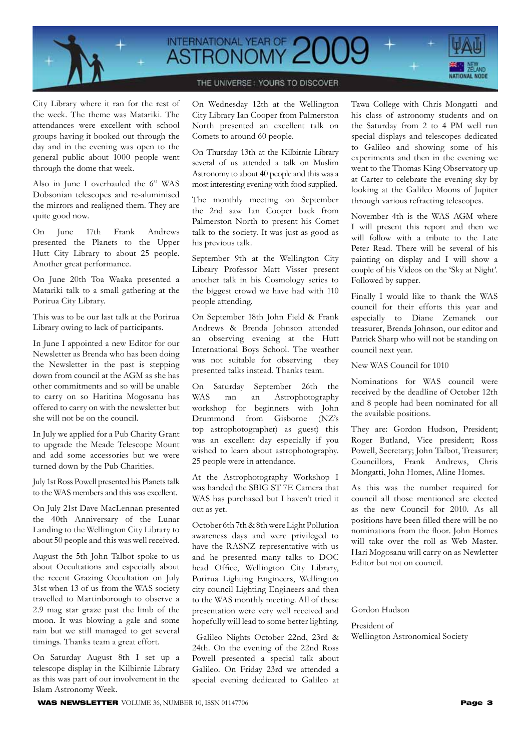

# INTERNATIONAL YEAR OF 200



### THE UNIVERSE: YOURS TO DISCOVER

City Library where it ran for the rest of the week. The theme was Matariki. The attendances were excellent with school groups having it booked out through the day and in the evening was open to the general public about 1000 people went through the dome that week.

Also in June I overhauled the 6" WAS Dobsonian telescopes and re-aluminised the mirrors and realigned them. They are quite good now.

On June 17th Frank Andrews presented the Planets to the Upper Hutt City Library to about 25 people. Another great performance.

On June 20th Toa Waaka presented a Matariki talk to a small gathering at the Porirua City Library.

This was to be our last talk at the Porirua Library owing to lack of participants.

In June I appointed a new Editor for our Newsletter as Brenda who has been doing the Newsletter in the past is stepping down from council at the AGM as she has other commitments and so will be unable to carry on so Haritina Mogosanu has offered to carry on with the newsletter but she will not be on the council.

In July we applied for a Pub Charity Grant to upgrade the Meade Telescope Mount and add some accessories but we were turned down by the Pub Charities.

July 1st Ross Powell presented his Planets talk to the WAS members and this was excellent.

On July 21st Dave MacLennan presented the 40th Anniversary of the Lunar Landing to the Wellington City Library to about 50 people and this was well received.

August the 5th John Talbot spoke to us about Occultations and especially about the recent Grazing Occultation on July 31st when 13 of us from the WAS society travelled to Martinborough to observe a 2.9 mag star graze past the limb of the moon. It was blowing a gale and some rain but we still managed to get several timings. Thanks team a great effort.

On Saturday August 8th I set up a telescope display in the Kilbirnie Library as this was part of our involvement in the Islam Astronomy Week.

On Wednesday 12th at the Wellington City Library Ian Cooper from Palmerston North presented an excellent talk on Comets to around 60 people.

On Thursday 13th at the Kilbirnie Library several of us attended a talk on Muslim Astronomy to about 40 people and this was a most interesting evening with food supplied.

The monthly meeting on September the 2nd saw Ian Cooper back from Palmerston North to present his Comet talk to the society. It was just as good as his previous talk.

September 9th at the Wellington City Library Professor Matt Visser present another talk in his Cosmology series to the biggest crowd we have had with 110 people attending.

On September 18th John Field & Frank Andrews & Brenda Johnson attended an observing evening at the Hutt International Boys School. The weather was not suitable for observing they presented talks instead. Thanks team.

On Saturday September 26th the WAS ran an Astrophotography workshop for beginners with John Drummond from Gisborne (NZ's top astrophotographer) as guest) this was an excellent day especially if you wished to learn about astrophotography. 25 people were in attendance.

At the Astrophotography Workshop I was handed the SBIG ST 7E Camera that WAS has purchased but I haven't tried it out as yet.

October 6th 7th & 8th were Light Pollution awareness days and were privileged to have the RASNZ representative with us and he presented many talks to DOC head Office, Wellington City Library, Porirua Lighting Engineers, Wellington city council Lighting Engineers and then to the WAS monthly meeting. All of these presentation were very well received and hopefully will lead to some better lighting.

 Galileo Nights October 22nd, 23rd & 24th. On the evening of the 22nd Ross Powell presented a special talk about Galileo. On Friday 23rd we attended a special evening dedicated to Galileo at

Tawa College with Chris Mongatti and his class of astronomy students and on the Saturday from 2 to 4 PM well run special displays and telescopes dedicated to Galileo and showing some of his experiments and then in the evening we went to the Thomas King Observatory up at Carter to celebrate the evening sky by looking at the Galileo Moons of Jupiter through various refracting telescopes.

November 4th is the WAS AGM where I will present this report and then we will follow with a tribute to the Late Peter Read. There will be several of his painting on display and I will show a couple of his Videos on the 'Sky at Night'. Followed by supper.

Finally I would like to thank the WAS council for their efforts this year and especially to Diane Zemanek our treasurer, Brenda Johnson, our editor and Patrick Sharp who will not be standing on council next year.

New WAS Council for 1010

Nominations for WAS council were received by the deadline of October 12th and 8 people had been nominated for all the available positions.

They are: Gordon Hudson, President; Roger Butland, Vice president; Ross Powell, Secretary; John Talbot, Treasurer; Councillors, Frank Andrews, Chris Mongatti, John Homes, Aline Homes.

As this was the number required for council all those mentioned are elected as the new Council for 2010. As all positions have been filled there will be no nominations from the floor. John Homes will take over the roll as Web Master. Hari Mogosanu will carry on as Newletter Editor but not on council.

#### Gordon Hudson

President of Wellington Astronomical Society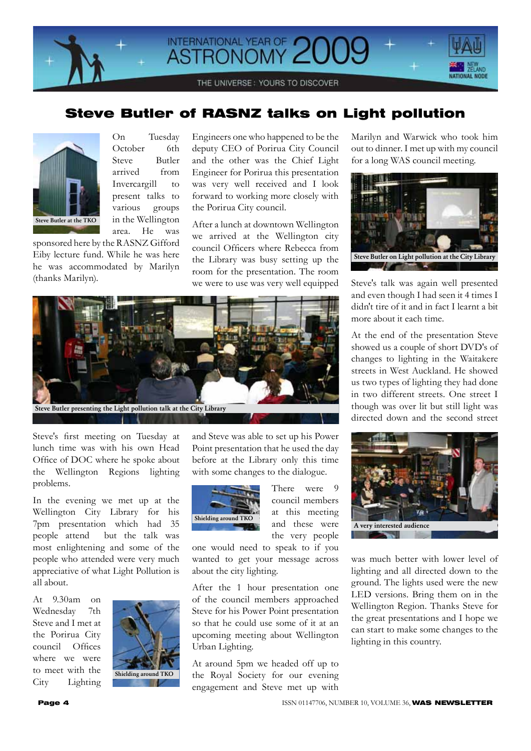

## Steve Butler of RASNZ talks on Light pollution



On Tuesday October 6th Steve Butler arrived from Invercargill to present talks to various groups in the Wellington area. He was

sponsored here by the RASNZ Gifford Eiby lecture fund. While he was here he was accommodated by Marilyn (thanks Marilyn).

Engineers one who happened to be the deputy CEO of Porirua City Council and the other was the Chief Light Engineer for Porirua this presentation was very well received and I look forward to working more closely with the Porirua City council.

After a lunch at downtown Wellington we arrived at the Wellington city council Officers where Rebecca from the Library was busy setting up the room for the presentation. The room we were to use was very well equipped



Steve's first meeting on Tuesday at lunch time was with his own Head Office of DOC where he spoke about the Wellington Regions lighting problems.

In the evening we met up at the Wellington City Library for his 7pm presentation which had 35 people attend but the talk was most enlightening and some of the people who attended were very much appreciative of what Light Pollution is all about.

At 9.30am on Wednesday 7th Steve and I met at the Porirua City council Offices where we were to meet with the City Lighting



and Steve was able to set up his Power Point presentation that he used the day before at the Library only this time with some changes to the dialogue.



There were 9 council members at this meeting and these were the very people

one would need to speak to if you wanted to get your message across about the city lighting.

After the 1 hour presentation one of the council members approached Steve for his Power Point presentation so that he could use some of it at an upcoming meeting about Wellington Urban Lighting.

At around 5pm we headed off up to the Royal Society for our evening engagement and Steve met up with

Marilyn and Warwick who took him out to dinner. I met up with my council for a long WAS council meeting.



Steve's talk was again well presented and even though I had seen it 4 times I didn't tire of it and in fact I learnt a bit more about it each time.

At the end of the presentation Steve showed us a couple of short DVD's of changes to lighting in the Waitakere streets in West Auckland. He showed us two types of lighting they had done in two different streets. One street I though was over lit but still light was directed down and the second street



was much better with lower level of lighting and all directed down to the ground. The lights used were the new LED versions. Bring them on in the Wellington Region. Thanks Steve for the great presentations and I hope we can start to make some changes to the lighting in this country.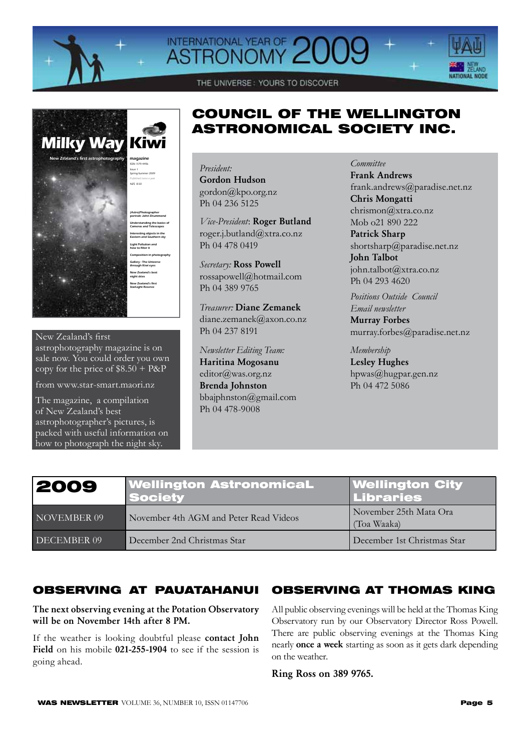

# INTERNATIONAL YEAR OF 2



THE UNIVERSE: YOURS TO DISCOVER

## (Astro)Photographer portrait: John Drummond Understanding the basics of Cameras and Telescopes Interesting objects in the Eastern and Southern sky Light Pollution and how to filter it Composition in photography Gallery : The Universe through Kiwi eyes New Zealand's best night skies New Zealand's first StarLight Reserve **Milky Way Kiwi** ISSN 1179-4496 Issue 1 Spring-Summer 2009 Published twice a year NZ\$ 8.50 New Zealand's first astrophotography magazine

### New Zealand's first astrophotography magazine is on sale now. You could order you own copy for the price of  $$8.50 + P\&P$

from www.star-smart.maori.nz

The magazine, a compilation of New Zealand's best astrophotographer's pictures, is packed with useful information on how to photograph the night sky.

# COUNCIL OF THE WELLINGTON ASTRONOMICAL SOCIETY INC.

## *President:*

Gordon Hudson gordon@kpo.org.nz Ph 04 236 5125

*Vice-President*: Roger Butland roger.j.butland@xtra.co.nz Ph 04 478 0419

*Secretary:* Ross Powell rossapowell@hotmail.com Ph 04 389 9765

*Treasurer:* Diane Zemanek diane.zemanek@axon.co.nz Ph 04 237 8191

*Newsletter Editing Team:*  Haritina Mogosanu editor@was.org.nz Brenda Johnston bbajphnston@gmail.com Ph 04 478-9008

*Committee*  Frank Andrews frank.andrews@paradise.net.nz Chris Mongatti chrismon@xtra.co.nz Mob o21 890 222

Patrick Sharp shortsharp@paradise.net.nz John Talbot john.talbot@xtra.co.nz Ph 04 293 4620

*Positions Outside Council Email newsletter* Murray Forbes

murray.forbes@paradise.net.nz

*Membership*  Lesley Hughes hpwas@hugpar.gen.nz Ph 04 472 5086

| 2009        | <b>Wellington AstronomicaL</b><br><b>Society</b> | <b>Wellington City<br/>Libraries</b>  |
|-------------|--------------------------------------------------|---------------------------------------|
| NOVEMBER 09 | November 4th AGM and Peter Read Videos           | November 25th Mata Ora<br>(Toa Waaka) |
| DECEMBER 09 | December 2nd Christmas Star                      | December 1st Christmas Star           |

# OBSERVING AT PAUATAHANUI

## The next observing evening at the Potation Observatory will be on November 14th after 8 PM.

If the weather is looking doubtful please contact John Field on his mobile 021-255-1904 to see if the session is going ahead.

# OBSERVING AT THOMAS KING

All public observing evenings will be held at the Thomas King Observatory run by our Observatory Director Ross Powell. There are public observing evenings at the Thomas King nearly once a week starting as soon as it gets dark depending on the weather.

Ring Ross on 389 9765.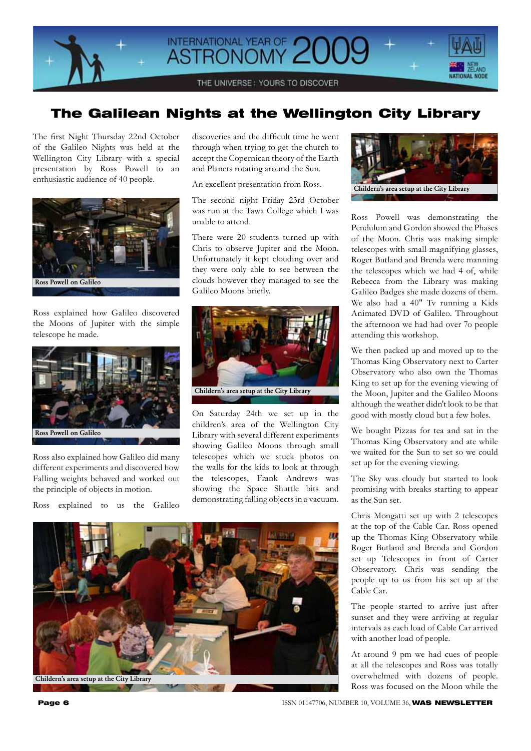

# The Galilean Nights at the Wellington City Library

The first Night Thursday 22nd October of the Galileo Nights was held at the Wellington City Library with a special presentation by Ross Powell to an enthusiastic audience of 40 people.



Ross explained how Galileo discovered the Moons of Jupiter with the simple telescope he made.



Ross also explained how Galileo did many different experiments and discovered how Falling weights behaved and worked out the principle of objects in motion.

Ross explained to us the Galileo

discoveries and the difficult time he went through when trying to get the church to accept the Copernican theory of the Earth and Planets rotating around the Sun.

An excellent presentation from Ross.

The second night Friday 23rd October was run at the Tawa College which I was unable to attend.

There were 20 students turned up with Chris to observe Jupiter and the Moon. Unfortunately it kept clouding over and they were only able to see between the clouds however they managed to see the Galileo Moons briefly.



On Saturday 24th we set up in the children's area of the Wellington City Library with several different experiments showing Galileo Moons through small telescopes which we stuck photos on the walls for the kids to look at through the telescopes, Frank Andrews was showing the Space Shuttle bits and demonstrating falling objects in a vacuum.





Ross Powell was demonstrating the Pendulum and Gordon showed the Phases of the Moon. Chris was making simple telescopes with small magnifying glasses, Roger Butland and Brenda were manning the telescopes which we had 4 of, while Rebecca from the Library was making Galileo Badges she made dozens of them. We also had a 40" Tv running a Kids Animated DVD of Galileo. Throughout the afternoon we had had over 7o people attending this workshop.

We then packed up and moved up to the Thomas King Observatory next to Carter Observatory who also own the Thomas King to set up for the evening viewing of the Moon, Jupiter and the Galileo Moons although the weather didn't look to be that good with mostly cloud but a few holes.

We bought Pizzas for tea and sat in the Thomas King Observatory and ate while we waited for the Sun to set so we could set up for the evening viewing.

The Sky was cloudy but started to look promising with breaks starting to appear as the Sun set.

Chris Mongatti set up with 2 telescopes at the top of the Cable Car. Ross opened up the Thomas King Observatory while Roger Butland and Brenda and Gordon set up Telescopes in front of Carter Observatory. Chris was sending the people up to us from his set up at the Cable Car.

The people started to arrive just after sunset and they were arriving at regular intervals as each load of Cable Car arrived with another load of people.

At around 9 pm we had cues of people at all the telescopes and Ross was totally overwhelmed with dozens of people. Ross was focused on the Moon while the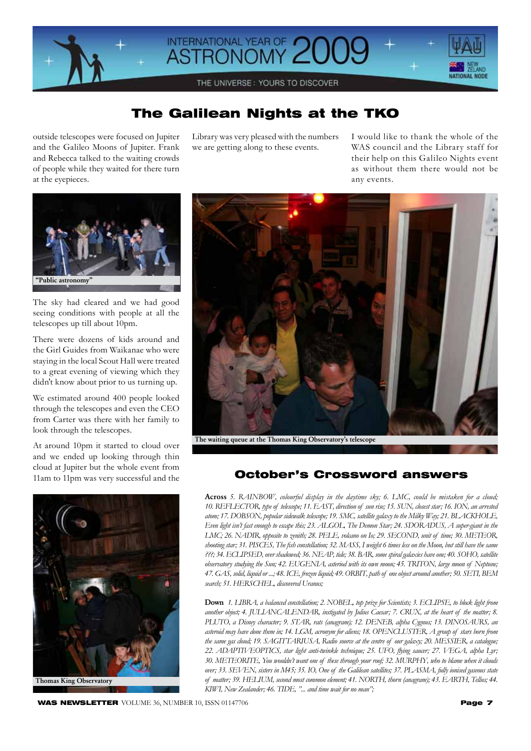

# The Galilean Nights at the TKO

outside telescopes were focused on Jupiter and the Galileo Moons of Jupiter. Frank and Rebecca talked to the waiting crowds of people while they waited for there turn at the eyepieces.

Library was very pleased with the numbers we are getting along to these events.

I would like to thank the whole of the WAS council and the Library staff for their help on this Galileo Nights event as without them there would not be any events.



The sky had cleared and we had good seeing conditions with people at all the telescopes up till about 10pm.

There were dozens of kids around and the Girl Guides from Waikanae who were staying in the local Scout Hall were treated to a great evening of viewing which they didn't know about prior to us turning up.

We estimated around 400 people looked through the telescopes and even the CEO from Carter was there with her family to look through the telescopes.

At around 10pm it started to cloud over and we ended up looking through thin cloud at Jupiter but the whole event from 11am to 11pm was very successful and the





The waiting queue at the Thomas King Observatory's telescope

## October's Crossword answers

Across 5. RAINBOW, colourful display in the daytime sky; 6. LMC, could be mistaken for a cloud; 10. REFLECTOR, type of telescope; 11. EAST, direction of sun rise; 15. SUN, closest star; 16. ION, an arrested atom; 17. DOBSON, popular sidewalk telescope; 19. SMC, satellite galaxy to the Milky Way; 21. BLACKHOLE, *Even light isn't fast enough to escape this; 23. ALGOL' The Demon Star; 24. SDORADUS' A super-giant in the LMC; 26. NADIR, opposite to zenith; 28. PELE, volcano on Io; 29. SECOND, unit of time; 30. METEOR,* shooting star; 31. PISCES, The fish constellation; 32. MASS, I weight 6 times less on the Moon, but still have the same *???; 34. ECLIPSED' over shadowed; 36. NEAP' tide; 38. BAR' some spiral galaxies have one; 40. SOHO' satellite observatory studying the Sun; 42. EUGENIA' asteriod with its own moon; 45. TRITON' large moon of Neptune;*  47. GAS, solid, liquid or ...; 48. ICE, frozen liquid; 49. ORBIT, path of one object around another; 50. SETI, BEM *search; 51. HERSCHEL' discovered Uranus;* 

Down 1. LIBRA, a balanced constellation; 2. NOBEL, top prize for Scientists; 3. ECLIPSE, to block light from *another object; 4. JULIANCALENDAR' instigated by Julius Caesar; 7. CRUX' at the heart of the matter; 8. PLUTO, a Disney character; 9. STAR, rats (anagram); 12. DENEB, alpha Cygnus; 13. DINOSAURS, an asteroid may have done them in; 14. LGM' acronym for aliens; 18. OPENCLUSTER' A group of stars born from*  the same gas cloud; 19. SAGITTARIUSA, Radio source at the centre of our galaxy; 20. MESSIER, a catalogue; *22. ADAPTIVEOPTICS' star light anti-twinkle technique; 25. UFO' flying saucer; 27. VEGA' alpha Lyr; 30. METEORITE' You wouldn't want one of these through your roof; 32. MURPHY' who to blame when it clouds over; 33. SEVEN, sisters in M45; 35. IO, One of the Galilean satellites; 37. PLASMA, fully ionised gaseous state* of matter; 39. HELIUM, second most common element; 41. NORTH, thorn (anagram); 43. EARTH, Tellus; 44. KIWI, New Zealander; 46. TIDE, "... and time wait for no man";